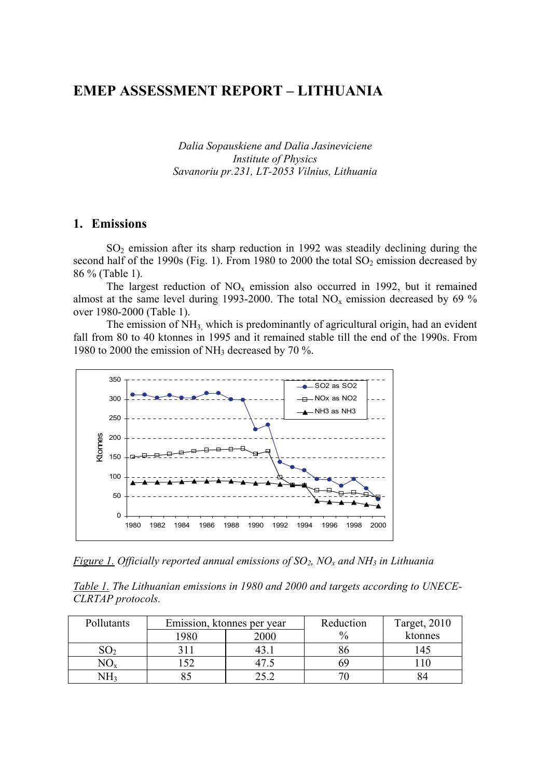## **EMEP ASSESSMENT REPORT – LITHUANIA**

*Dalia Sopauskiene and Dalia Jasineviciene Institute of Physics Savanoriu pr.231, LT-2053 Vilnius, Lithuania* 

### **1. Emissions**

 $SO<sub>2</sub>$  emission after its sharp reduction in 1992 was steadily declining during the second half of the 1990s (Fig. 1). From 1980 to 2000 the total  $SO_2$  emission decreased by 86 % (Table 1).

The largest reduction of  $NO<sub>x</sub>$  emission also occurred in 1992, but it remained almost at the same level during 1993-2000. The total  $NO<sub>x</sub>$  emission decreased by 69 % over 1980-2000 (Table 1).

The emission of  $NH<sub>3</sub>$ , which is predominantly of agricultural origin, had an evident fall from 80 to 40 ktonnes in 1995 and it remained stable till the end of the 1990s. From 1980 to 2000 the emission of NH3 decreased by 70 %.



*Figure 1. Officially reported annual emissions of SO<sub>2</sub>, NO<sub>x</sub> and NH<sub>3</sub> in Lithuania* 

*Table 1. The Lithuanian emissions in 1980 and 2000 and targets according to UNECE-CLRTAP protocols.* 

| Pollutants |      | Emission, ktonnes per year | Reduction     | <b>Target, 2010</b> |
|------------|------|----------------------------|---------------|---------------------|
|            | 1980 | 2000                       | $\frac{0}{0}$ | ktonnes             |
|            |      |                            | oι            |                     |
|            |      |                            |               |                     |
| NH2        |      | າ ເາ                       |               |                     |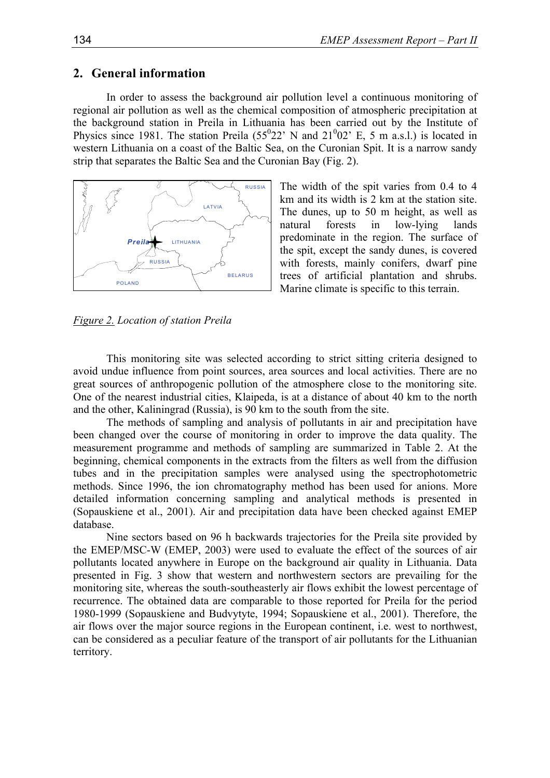### **2. General information**

In order to assess the background air pollution level a continuous monitoring of regional air pollution as well as the chemical composition of atmospheric precipitation at the background station in Preila in Lithuania has been carried out by the Institute of Physics since 1981. The station Preila  $(55^{0}22'$  N and  $21^{0}02'$  E, 5 m a.s.l.) is located in western Lithuania on a coast of the Baltic Sea, on the Curonian Spit. It is a narrow sandy strip that separates the Baltic Sea and the Curonian Bay (Fig. 2).



The width of the spit varies from 0.4 to 4 km and its width is 2 km at the station site. The dunes, up to 50 m height, as well as natural forests in low-lying lands predominate in the region. The surface of the spit, except the sandy dunes, is covered with forests, mainly conifers, dwarf pine trees of artificial plantation and shrubs. Marine climate is specific to this terrain.

*Figure 2. Location of station Preila* 

This monitoring site was selected according to strict sitting criteria designed to avoid undue influence from point sources, area sources and local activities. There are no great sources of anthropogenic pollution of the atmosphere close to the monitoring site. One of the nearest industrial cities, Klaipeda, is at a distance of about 40 km to the north and the other, Kaliningrad (Russia), is 90 km to the south from the site.

The methods of sampling and analysis of pollutants in air and precipitation have been changed over the course of monitoring in order to improve the data quality. The measurement programme and methods of sampling are summarized in Table 2. At the beginning, chemical components in the extracts from the filters as well from the diffusion tubes and in the precipitation samples were analysed using the spectrophotometric methods. Since 1996, the ion chromatography method has been used for anions. More detailed information concerning sampling and analytical methods is presented in (Sopauskiene et al., 2001). Air and precipitation data have been checked against EMEP database.

Nine sectors based on 96 h backwards trajectories for the Preila site provided by the EMEP/MSC-W (EMEP, 2003) were used to evaluate the effect of the sources of air pollutants located anywhere in Europe on the background air quality in Lithuania. Data presented in Fig. 3 show that western and northwestern sectors are prevailing for the monitoring site, whereas the south-southeasterly air flows exhibit the lowest percentage of recurrence. The obtained data are comparable to those reported for Preila for the period 1980-1999 (Sopauskiene and Budvytyte, 1994; Sopauskiene et al., 2001). Therefore, the air flows over the major source regions in the European continent, i.e. west to northwest, can be considered as a peculiar feature of the transport of air pollutants for the Lithuanian territory.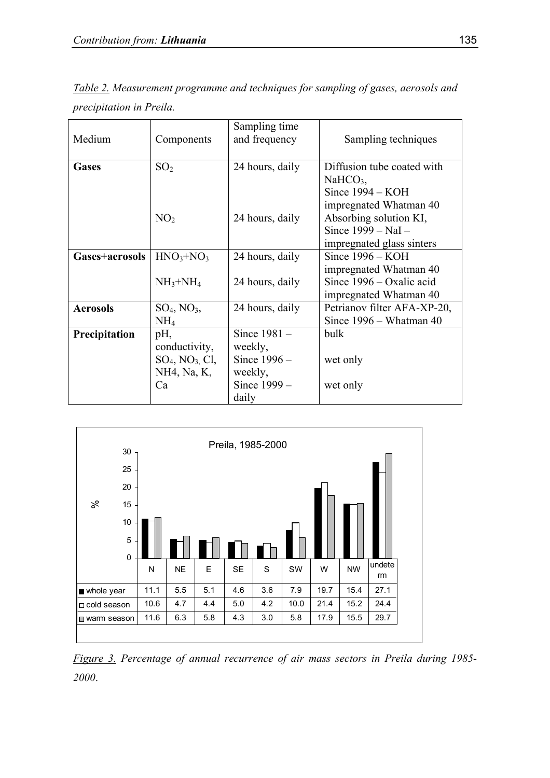| Medium          | Components               | Sampling time<br>and frequency | Sampling techniques                                                                                                            |  |  |
|-----------------|--------------------------|--------------------------------|--------------------------------------------------------------------------------------------------------------------------------|--|--|
| <b>Gases</b>    | SO <sub>2</sub>          | 24 hours, daily                | Diffusion tube coated with<br>$NaHCO3$ ,                                                                                       |  |  |
|                 | NO <sub>2</sub>          | 24 hours, daily                | Since 1994 - KOH<br>impregnated Whatman 40<br>Absorbing solution KI,<br>Since $1999 - \text{NaI}$<br>impregnated glass sinters |  |  |
| Gases+aerosols  | $HNO3+NO3$               | 24 hours, daily                | Since $1996 - KOH$                                                                                                             |  |  |
|                 |                          |                                | impregnated Whatman 40                                                                                                         |  |  |
|                 | $NH_3+NH_4$              | 24 hours, daily                | Since $1996 - Oxalic$ acid                                                                                                     |  |  |
|                 |                          |                                | impregnated Whatman 40                                                                                                         |  |  |
| <b>Aerosols</b> | $SO_4$ , $NO_3$ ,        | 24 hours, daily                | Petrianov filter AFA-XP-20,                                                                                                    |  |  |
|                 | NH <sub>4</sub>          |                                | Since 1996 – Whatman 40                                                                                                        |  |  |
| Precipitation   | pH,                      | Since 1981 -                   | bulk                                                                                                                           |  |  |
|                 | conductivity,            | weekly,                        |                                                                                                                                |  |  |
|                 | $SO_4$ , $NO_3$ , $Cl$ , | Since $1996 -$                 | wet only                                                                                                                       |  |  |
|                 | NH4, Na, K,              | weekly,                        |                                                                                                                                |  |  |
|                 | Ca                       | Since 1999 –                   | wet only                                                                                                                       |  |  |
|                 |                          | daily                          |                                                                                                                                |  |  |

*Table 2. Measurement programme and techniques for sampling of gases, aerosols and precipitation in Preila.* 



*Figure 3. Percentage of annual recurrence of air mass sectors in Preila during 1985- 2000*.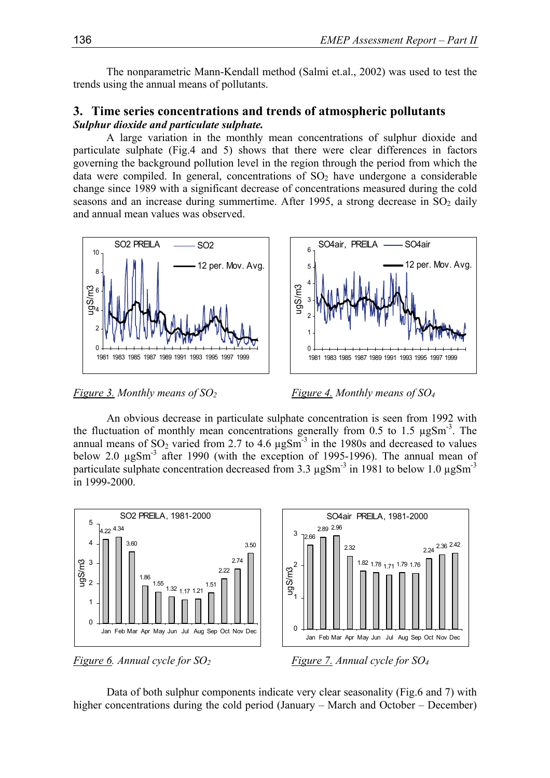The nonparametric Mann-Kendall method (Salmi et.al., 2002) was used to test the trends using the annual means of pollutants.

### **3. Time series concentrations and trends of atmospheric pollutants**  *Sulphur dioxide and particulate sulphate.*

A large variation in the monthly mean concentrations of sulphur dioxide and particulate sulphate (Fig.4 and 5) shows that there were clear differences in factors governing the background pollution level in the region through the period from which the data were compiled. In general, concentrations of  $SO<sub>2</sub>$  have undergone a considerable change since 1989 with a significant decrease of concentrations measured during the cold seasons and an increase during summertime. After 1995, a strong decrease in  $SO_2$  daily and annual mean values was observed.



*Figure 3. Monthly means of SO2 Figure 4. Monthly means of SO4*

An obvious decrease in particulate sulphate concentration is seen from 1992 with the fluctuation of monthly mean concentrations generally from 0.5 to 1.5  $\mu$ gSm<sup>-3</sup>. The annual means of  $SO_2$  varied from 2.7 to 4.6  $\mu$ gSm<sup>-3</sup> in the 1980s and decreased to values below 2.0  $\mu$ gSm<sup>-3</sup> after 1990 (with the exception of 1995-1996). The annual mean of particulate sulphate concentration decreased from 3.3  $\mu$ gSm<sup>-3</sup> in 1981 to below 1.0  $\mu$ gSm<sup>-3</sup> in 1999-2000.



Data of both sulphur components indicate very clear seasonality (Fig.6 and 7) with higher concentrations during the cold period (January – March and October – December)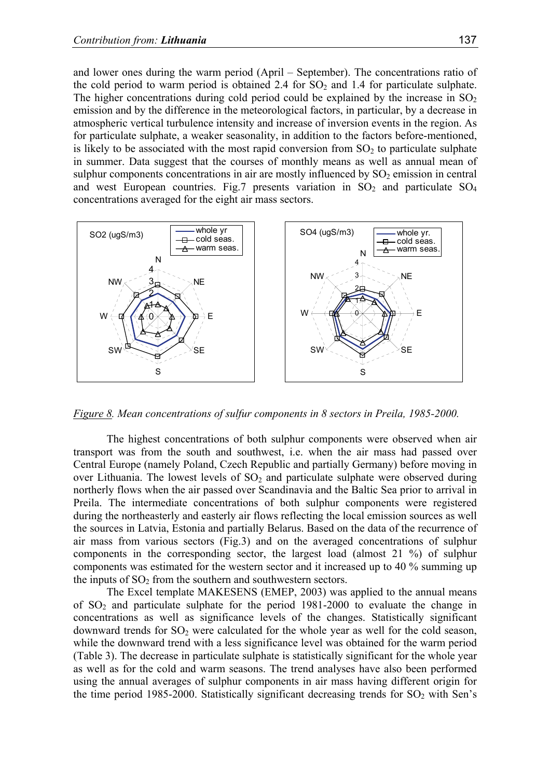and lower ones during the warm period (April – September). The concentrations ratio of the cold period to warm period is obtained 2.4 for  $SO<sub>2</sub>$  and 1.4 for particulate sulphate. The higher concentrations during cold period could be explained by the increase in  $SO_2$ emission and by the difference in the meteorological factors, in particular, by a decrease in atmospheric vertical turbulence intensity and increase of inversion events in the region. As for particulate sulphate, a weaker seasonality, in addition to the factors before-mentioned, is likely to be associated with the most rapid conversion from  $SO<sub>2</sub>$  to particulate sulphate in summer. Data suggest that the courses of monthly means as well as annual mean of sulphur components concentrations in air are mostly influenced by  $SO_2$  emission in central and west European countries. Fig.7 presents variation in  $SO_2$  and particulate  $SO_4$ concentrations averaged for the eight air mass sectors.



*Figure 8. Mean concentrations of sulfur components in 8 sectors in Preila, 1985-2000.* 

The highest concentrations of both sulphur components were observed when air transport was from the south and southwest, i.e. when the air mass had passed over Central Europe (namely Poland, Czech Republic and partially Germany) before moving in over Lithuania. The lowest levels of  $SO<sub>2</sub>$  and particulate sulphate were observed during northerly flows when the air passed over Scandinavia and the Baltic Sea prior to arrival in Preila. The intermediate concentrations of both sulphur components were registered during the northeasterly and easterly air flows reflecting the local emission sources as well the sources in Latvia, Estonia and partially Belarus. Based on the data of the recurrence of air mass from various sectors (Fig.3) and on the averaged concentrations of sulphur components in the corresponding sector, the largest load (almost 21 %) of sulphur components was estimated for the western sector and it increased up to 40 % summing up the inputs of  $SO<sub>2</sub>$  from the southern and southwestern sectors.

The Excel template MAKESENS (EMEP, 2003) was applied to the annual means of  $SO_2$  and particulate sulphate for the period 1981-2000 to evaluate the change in concentrations as well as significance levels of the changes. Statistically significant downward trends for  $SO_2$  were calculated for the whole year as well for the cold season, while the downward trend with a less significance level was obtained for the warm period (Table 3). The decrease in particulate sulphate is statistically significant for the whole year as well as for the cold and warm seasons. The trend analyses have also been performed using the annual averages of sulphur components in air mass having different origin for the time period 1985-2000. Statistically significant decreasing trends for  $SO<sub>2</sub>$  with Sen's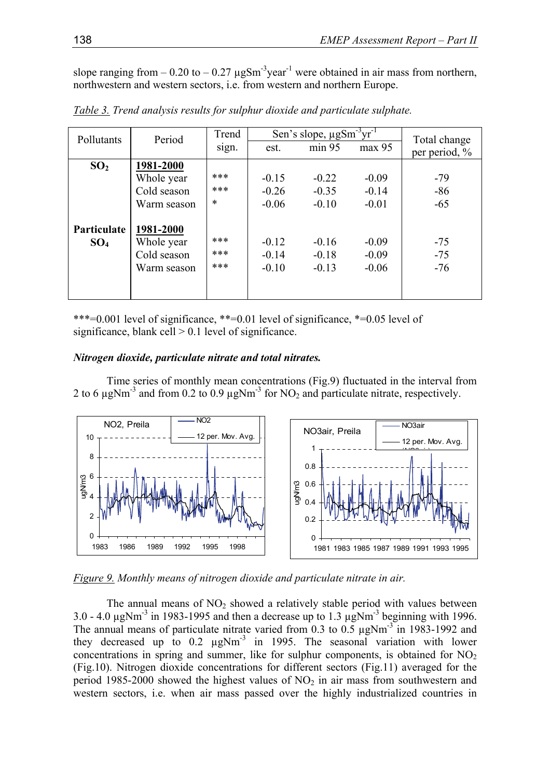slope ranging from  $-0.20$  to  $-0.27 \mu$ gSm<sup>-3</sup>year<sup>-1</sup> were obtained in air mass from northern, northwestern and western sectors, i.e. from western and northern Europe.

| Pollutants      | Period      | Trend  |         | Sen's slope, $\mu$ g $\overline{\text{Sm}^3 \text{yr}^1}$ |         | Total change  |  |
|-----------------|-------------|--------|---------|-----------------------------------------------------------|---------|---------------|--|
|                 |             | sign.  | est.    | min 95                                                    | max 95  | per period, % |  |
| SO <sub>2</sub> | 1981-2000   |        |         |                                                           |         |               |  |
|                 | Whole year  | ***    | $-0.15$ | $-0.22$                                                   | $-0.09$ | $-79$         |  |
|                 | Cold season | ***    | $-0.26$ | $-0.35$                                                   | $-0.14$ | $-86$         |  |
|                 | Warm season | $\ast$ | $-0.06$ | $-0.10$                                                   | $-0.01$ | $-65$         |  |
|                 |             |        |         |                                                           |         |               |  |
| Particulate     | 1981-2000   |        |         |                                                           |         |               |  |
| SO <sub>4</sub> | Whole year  | ***    | $-0.12$ | $-0.16$                                                   | $-0.09$ | $-75$         |  |
|                 | Cold season | ***    | $-0.14$ | $-0.18$                                                   | $-0.09$ | $-75$         |  |
|                 | Warm season | ***    | $-0.10$ | $-0.13$                                                   | $-0.06$ | $-76$         |  |
|                 |             |        |         |                                                           |         |               |  |
|                 |             |        |         |                                                           |         |               |  |

*Table 3. Trend analysis results for sulphur dioxide and particulate sulphate.* 

\*\*\*=0.001 level of significance, \*\*=0.01 level of significance, \*=0.05 level of significance, blank cell  $> 0.1$  level of significance.

### *Nitrogen dioxide, particulate nitrate and total nitrates.*



Time series of monthly mean concentrations (Fig.9) fluctuated in the interval from 2 to 6  $\mu$ gNm<sup>-3</sup> and from 0.2 to 0.9  $\mu$ gNm<sup>-3</sup> for NO<sub>2</sub> and particulate nitrate, respectively.

*Figure 9. Monthly means of nitrogen dioxide and particulate nitrate in air.* 

The annual means of  $NO<sub>2</sub>$  showed a relatively stable period with values between 3.0 - 4.0  $\mu$ gNm<sup>-3</sup> in 1983-1995 and then a decrease up to 1.3  $\mu$ gNm<sup>-3</sup> beginning with 1996. The annual means of particulate nitrate varied from 0.3 to 0.5 µgNm<sup>-3</sup> in 1983-1992 and they decreased up to 0.2 µgNm-3 in 1995. The seasonal variation with lower concentrations in spring and summer, like for sulphur components, is obtained for  $NO<sub>2</sub>$ (Fig.10). Nitrogen dioxide concentrations for different sectors (Fig.11) averaged for the period 1985-2000 showed the highest values of  $NO<sub>2</sub>$  in air mass from southwestern and western sectors, i.e. when air mass passed over the highly industrialized countries in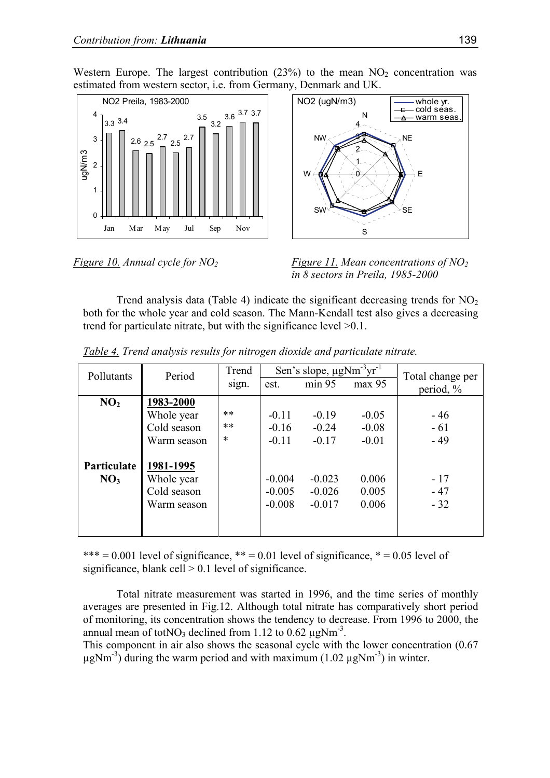Western Europe. The largest contribution  $(23%)$  to the mean  $NO<sub>2</sub>$  concentration was estimated from western sector, i.e. from Germany, Denmark and UK.





*Figure 10. Annual cycle for NO2 Figure 11. Mean concentrations of NO2 in 8 sectors in Preila, 1985-2000* 

Trend analysis data (Table 4) indicate the significant decreasing trends for  $NO<sub>2</sub>$ both for the whole year and cold season. The Mann-Kendall test also gives a decreasing trend for particulate nitrate, but with the significance level >0.1.

| Pollutants         | Period      | Trend  | Sen's slope, $\mu$ gNm <sup>-3</sup> vr <sup>-1</sup> | Total change per |         |           |
|--------------------|-------------|--------|-------------------------------------------------------|------------------|---------|-----------|
|                    |             | sign.  | est.                                                  | min 95           | max 95  | period, % |
| NO <sub>2</sub>    | 1983-2000   |        |                                                       |                  |         |           |
|                    | Whole year  | **     | $-0.11$                                               | $-0.19$          | $-0.05$ | $-46$     |
|                    | Cold season | $***$  | $-0.16$                                               | $-0.24$          | $-0.08$ | $-61$     |
|                    | Warm season | $\ast$ | $-0.11$                                               | $-0.17$          | $-0.01$ | $-49$     |
|                    |             |        |                                                       |                  |         |           |
| <b>Particulate</b> | 1981-1995   |        |                                                       |                  |         |           |
| NO <sub>3</sub>    | Whole year  |        | $-0.004$                                              | $-0.023$         | 0.006   | $-17$     |
|                    | Cold season |        | $-0.005$                                              | $-0.026$         | 0.005   | $-47$     |
|                    | Warm season |        | $-0.008$                                              | $-0.017$         | 0.006   | $-32$     |
|                    |             |        |                                                       |                  |         |           |
|                    |             |        |                                                       |                  |         |           |

*Table 4. Trend analysis results for nitrogen dioxide and particulate nitrate.* 

\*\*\* = 0.001 level of significance, \*\* = 0.01 level of significance, \* = 0.05 level of significance, blank cell  $> 0.1$  level of significance.

Total nitrate measurement was started in 1996, and the time series of monthly averages are presented in Fig.12. Although total nitrate has comparatively short period of monitoring, its concentration shows the tendency to decrease. From 1996 to 2000, the annual mean of tot $NO_3$  declined from 1.12 to 0.62  $\mu$ g $Nm^{-3}$ .

This component in air also shows the seasonal cycle with the lower concentration (0.67  $\mu$ gNm<sup>-3</sup>) during the warm period and with maximum (1.02  $\mu$ gNm<sup>-3</sup>) in winter.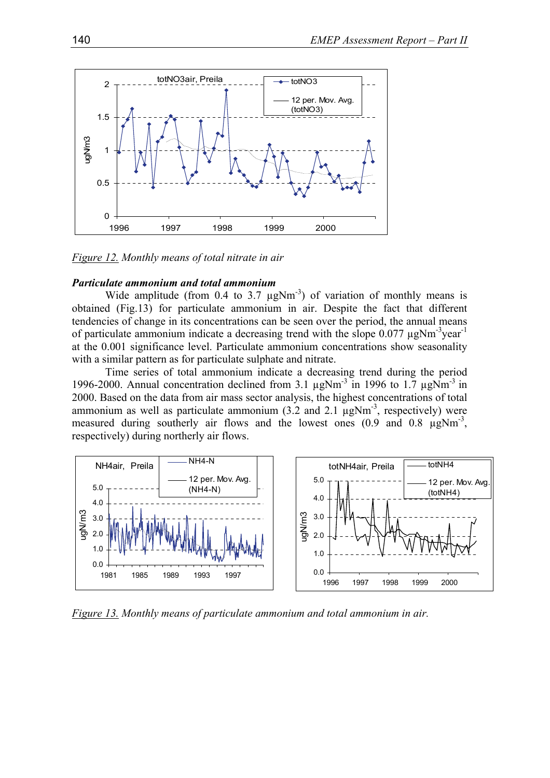

*Figure 12. Monthly means of total nitrate in air* 

#### *Particulate ammonium and total ammonium*

Wide amplitude (from 0.4 to 3.7  $\mu$ gNm<sup>-3</sup>) of variation of monthly means is obtained (Fig.13) for particulate ammonium in air. Despite the fact that different tendencies of change in its concentrations can be seen over the period, the annual means of particulate ammonium indicate a decreasing trend with the slope  $0.077 \mu$ gNm<sup>-3</sup>year<sup>-1</sup> at the 0.001 significance level. Particulate ammonium concentrations show seasonality with a similar pattern as for particulate sulphate and nitrate.

Time series of total ammonium indicate a decreasing trend during the period 1996-2000. Annual concentration declined from 3.1  $\mu$ gNm<sup>-3</sup> in 1996 to 1.7  $\mu$ gNm<sup>-3</sup> in 2000. Based on the data from air mass sector analysis, the highest concentrations of total ammonium as well as particulate ammonium  $(3.2 \text{ and } 2.1 \text{ µgNm}^{-3})$ , respectively) were measured during southerly air flows and the lowest ones  $(0.9 \text{ and } 0.8 \text{ µgNm}^3)$ , respectively) during northerly air flows.



*Figure 13. Monthly means of particulate ammonium and total ammonium in air.*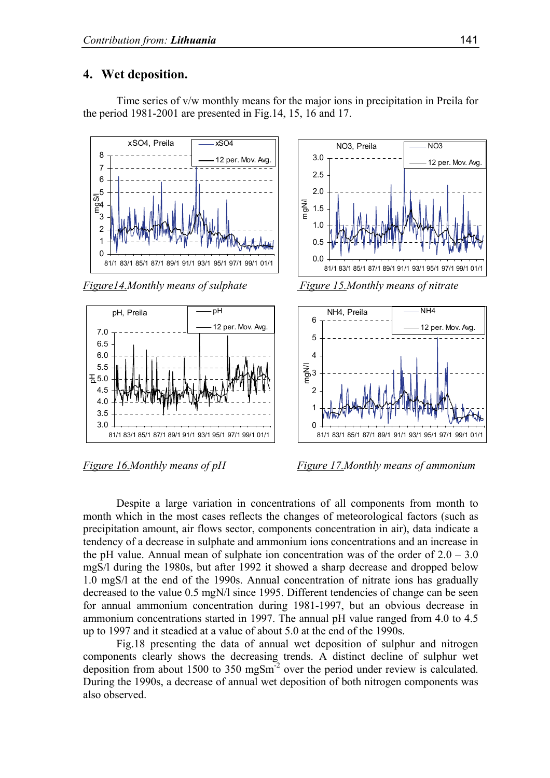### **4. Wet deposition.**

Time series of v/w monthly means for the major ions in precipitation in Preila for the period 1981-2001 are presented in Fig.14, 15, 16 and 17.



*Figure 14. Monthly means of sulphate Figure 15. Monthly means of nitrate* 







*Figure 16.Monthly means of pH Figure 17.Monthly means of ammonium* 

Despite a large variation in concentrations of all components from month to month which in the most cases reflects the changes of meteorological factors (such as precipitation amount, air flows sector, components concentration in air), data indicate a tendency of a decrease in sulphate and ammonium ions concentrations and an increase in the pH value. Annual mean of sulphate ion concentration was of the order of  $2.0 - 3.0$ mgS/l during the 1980s, but after 1992 it showed a sharp decrease and dropped below 1.0 mgS/l at the end of the 1990s. Annual concentration of nitrate ions has gradually decreased to the value 0.5 mgN/l since 1995. Different tendencies of change can be seen for annual ammonium concentration during 1981-1997, but an obvious decrease in ammonium concentrations started in 1997. The annual pH value ranged from 4.0 to 4.5 up to 1997 and it steadied at a value of about 5.0 at the end of the 1990s.

Fig.18 presenting the data of annual wet deposition of sulphur and nitrogen components clearly shows the decreasing trends. A distinct decline of sulphur wet deposition from about 1500 to 350 mgSm-2 over the period under review is calculated. During the 1990s, a decrease of annual wet deposition of both nitrogen components was also observed.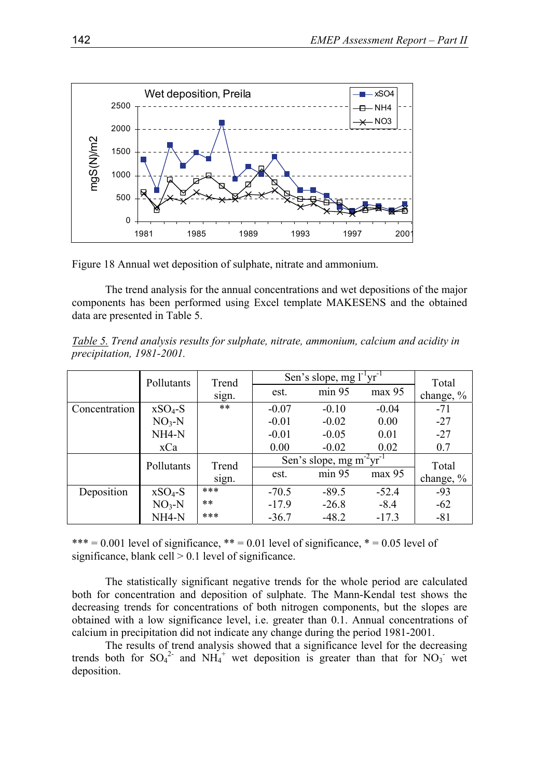

Figure 18 Annual wet deposition of sulphate, nitrate and ammonium.

The trend analysis for the annual concentrations and wet depositions of the major components has been performed using Excel template MAKESENS and the obtained data are presented in Table 5.

|                           | Table 5. Trend analysis results for sulphate, nitrate, ammonium, calcium and acidity in |  |  |  |
|---------------------------|-----------------------------------------------------------------------------------------|--|--|--|
| precipitation, 1981-2001. |                                                                                         |  |  |  |

|               | Pollutants         | Trend | Sen's slope, mg $l^{-1}vr^{-1}$         | Total   |         |              |
|---------------|--------------------|-------|-----------------------------------------|---------|---------|--------------|
|               |                    | sign. | est.                                    | min 95  | max 95  | change, $\%$ |
| Concentration | $XSO_4-S$          | $***$ | $-0.07$                                 | $-0.10$ | $-0.04$ | $-71$        |
|               | $NO3-N$            |       | $-0.01$                                 | $-0.02$ | 0.00    | $-27$        |
|               | NH <sub>4</sub> -N |       | $-0.01$                                 | $-0.05$ | 0.01    | $-27$        |
|               | xCa                |       | 0.00                                    | $-0.02$ | 0.02    | 0.7          |
|               | Pollutants         | Trend | Sen's slope, mg m $2\overline{vr}^{-1}$ |         |         | Total        |
|               |                    | sign. | est.                                    | min 95  | max 95  | change, $\%$ |
| Deposition    | $XSO4-S$           | ***   | $-70.5$                                 | $-89.5$ | $-52.4$ | $-93$        |
|               | $NO3-N$            | $***$ | $-17.9$                                 | $-26.8$ | $-8.4$  | $-62$        |
|               | NH <sub>4</sub> -N | ***   | $-36.7$                                 | $-48.2$ | $-17.3$ | $-81$        |

\*\*\*  $= 0.001$  level of significance, \*\*  $= 0.01$  level of significance, \*  $= 0.05$  level of significance, blank cell  $> 0.1$  level of significance.

The statistically significant negative trends for the whole period are calculated both for concentration and deposition of sulphate. The Mann-Kendal test shows the decreasing trends for concentrations of both nitrogen components, but the slopes are obtained with a low significance level, i.e. greater than 0.1. Annual concentrations of calcium in precipitation did not indicate any change during the period 1981-2001.

The results of trend analysis showed that a significance level for the decreasing trends both for  $SO_4^2$  and  $NH_4^+$  wet deposition is greater than that for  $NO_3^-$  wet deposition.